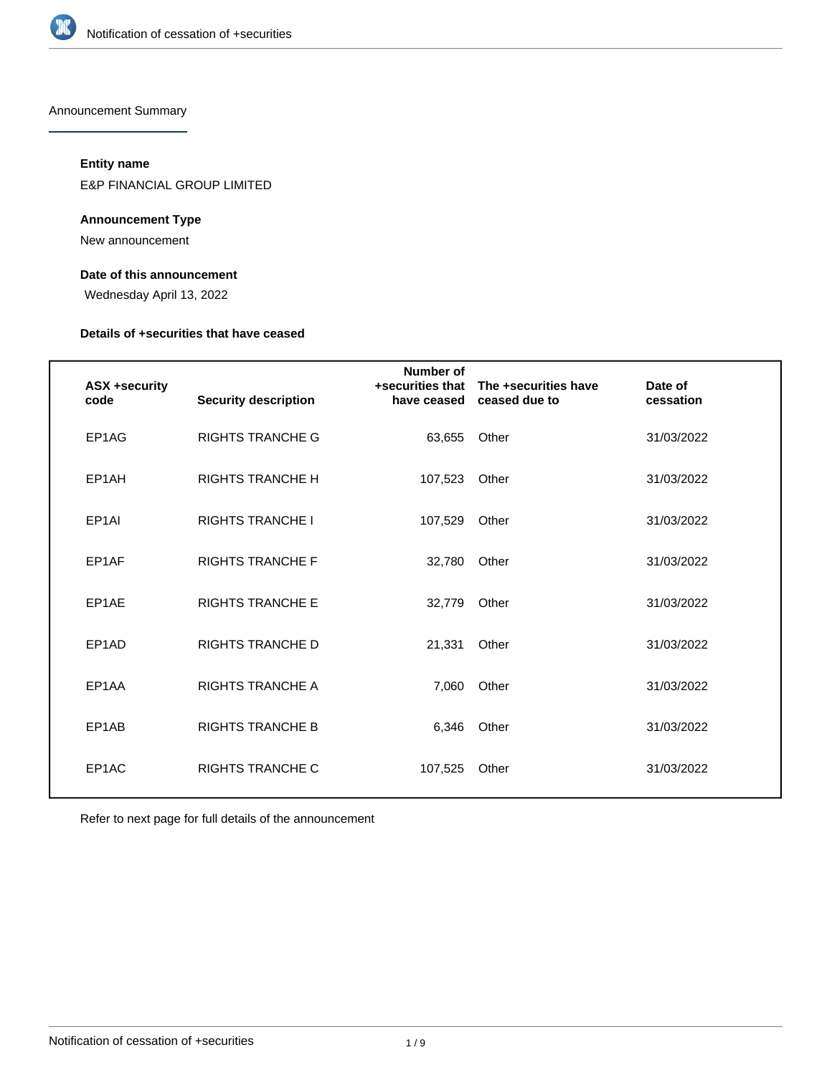

Announcement Summary

### **Entity name**

E&P FINANCIAL GROUP LIMITED

### **Announcement Type**

New announcement

### **Date of this announcement**

Wednesday April 13, 2022

### **Details of +securities that have ceased**

| <b>ASX +security</b><br>code | <b>Security description</b> | Number of<br>+securities that<br>have ceased | The +securities have<br>ceased due to | Date of<br>cessation |
|------------------------------|-----------------------------|----------------------------------------------|---------------------------------------|----------------------|
| EP1AG                        | <b>RIGHTS TRANCHE G</b>     | 63.655                                       | Other                                 | 31/03/2022           |
| EP1AH                        | <b>RIGHTS TRANCHE H</b>     | 107,523                                      | Other                                 | 31/03/2022           |
| EP <sub>1</sub> AI           | <b>RIGHTS TRANCHE I</b>     | 107,529                                      | Other                                 | 31/03/2022           |
| EP1AF                        | <b>RIGHTS TRANCHE F</b>     | 32,780                                       | Other                                 | 31/03/2022           |
| EP1AE                        | <b>RIGHTS TRANCHE E</b>     | 32,779                                       | Other                                 | 31/03/2022           |
| EP <sub>1</sub> AD           | <b>RIGHTS TRANCHE D</b>     | 21,331                                       | Other                                 | 31/03/2022           |
| EP1AA                        | <b>RIGHTS TRANCHE A</b>     | 7,060                                        | Other                                 | 31/03/2022           |
| EP1AB                        | <b>RIGHTS TRANCHE B</b>     | 6.346                                        | Other                                 | 31/03/2022           |
| EP1AC                        | <b>RIGHTS TRANCHE C</b>     | 107,525                                      | Other                                 | 31/03/2022           |

Refer to next page for full details of the announcement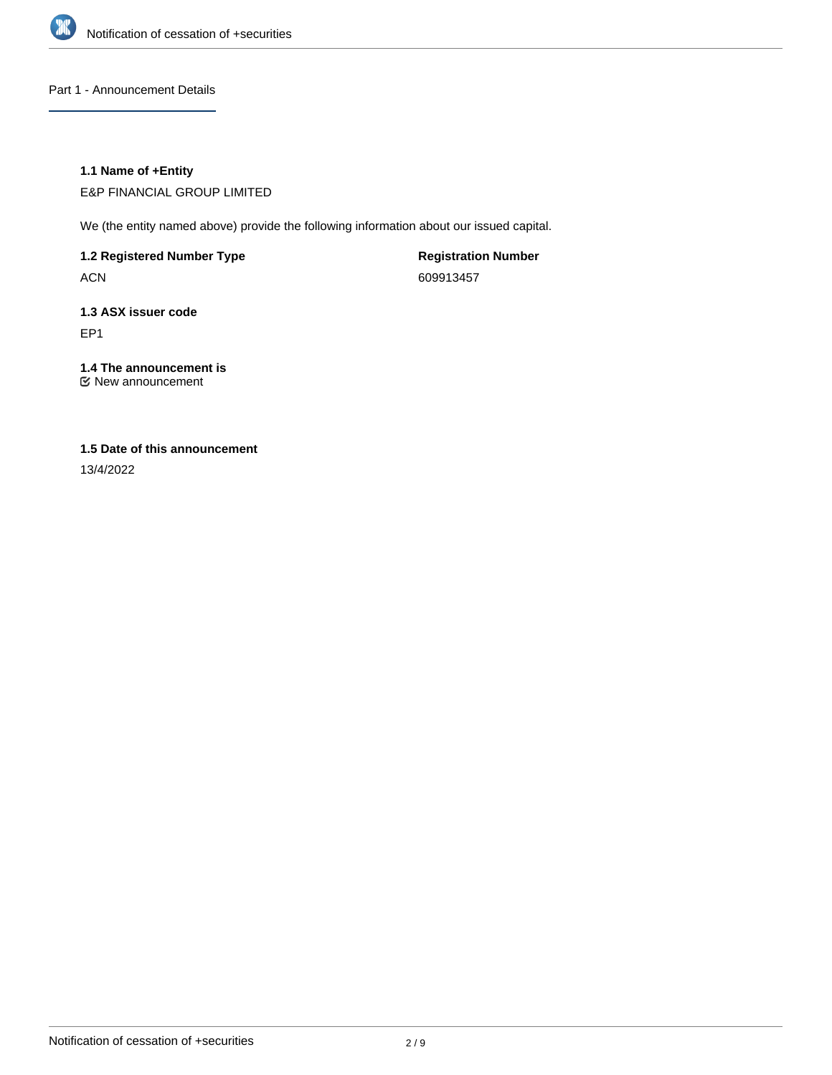

Part 1 - Announcement Details

### **1.1 Name of +Entity**

E&P FINANCIAL GROUP LIMITED

We (the entity named above) provide the following information about our issued capital.

**1.2 Registered Number Type**

ACN

**Registration Number** 609913457

### **1.3 ASX issuer code** EP1

### **1.4 The announcement is**

New announcement

### **1.5 Date of this announcement**

13/4/2022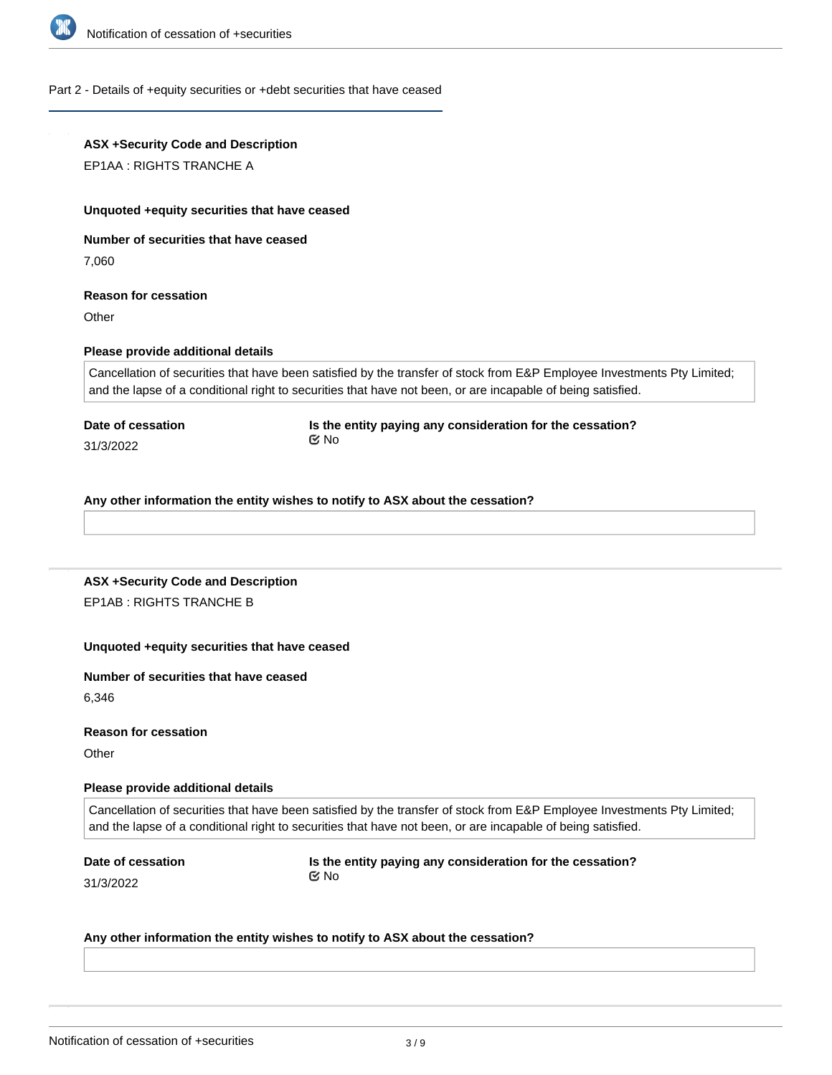

#### Part 2 - Details of +equity securities or +debt securities that have ceased

## **ASX +Security Code and Description** EP1AA : RIGHTS TRANCHE A **Unquoted +equity securities that have ceased Number of securities that have ceased** 7,060 **Reason for cessation Other Please provide additional details** Cancellation of securities that have been satisfied by the transfer of stock from E&P Employee Investments Pty Limited; and the lapse of a conditional right to securities that have not been, or are incapable of being satisfied. **Date of cessation** 31/3/2022 **Is the entity paying any consideration for the cessation?** No

**Any other information the entity wishes to notify to ASX about the cessation?**

### **ASX +Security Code and Description** EP1AB : RIGHTS TRANCHE B

### **Unquoted +equity securities that have ceased**

#### **Number of securities that have ceased**

6,346

### **Reason for cessation**

**Other** 

### **Please provide additional details**

Cancellation of securities that have been satisfied by the transfer of stock from E&P Employee Investments Pty Limited; and the lapse of a conditional right to securities that have not been, or are incapable of being satisfied.

**Date of cessation**

**Is the entity paying any consideration for the cessation?** No

31/3/2022

#### **Any other information the entity wishes to notify to ASX about the cessation?**

**ASX +Security Code and Description**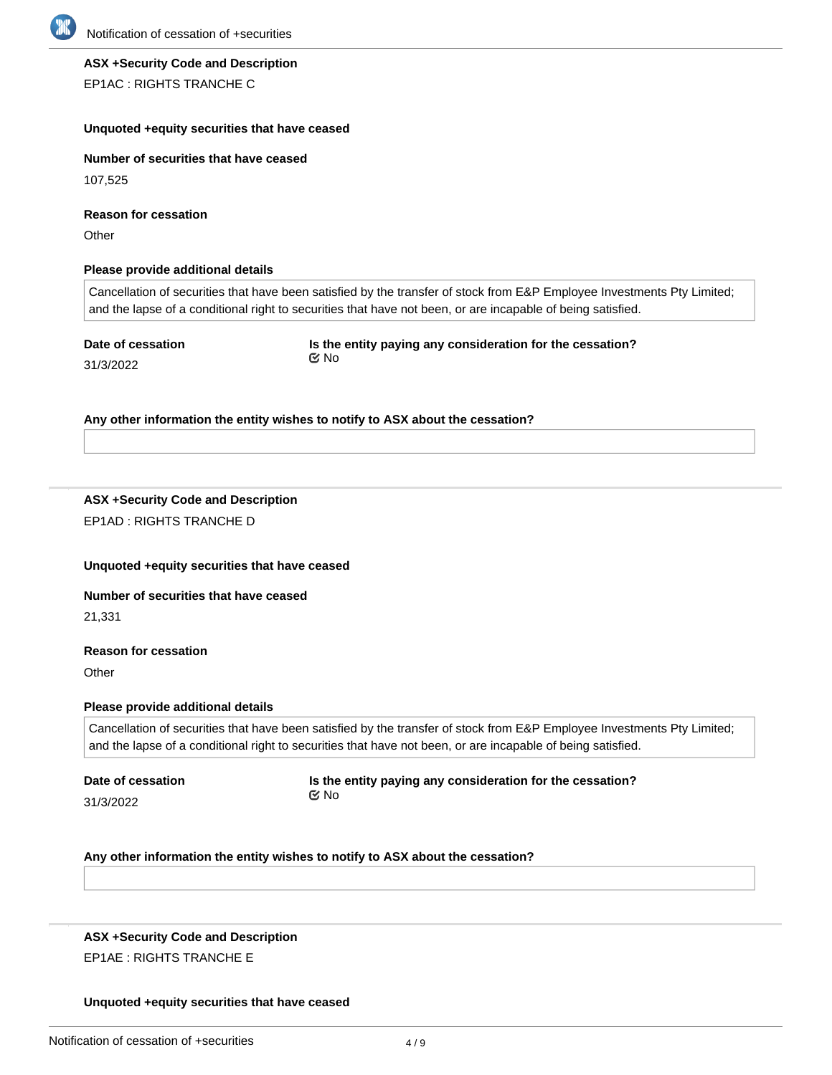

# **ASX +Security Code and Description**

EP1AC : RIGHTS TRANCHE C

### **Unquoted +equity securities that have ceased**

**Number of securities that have ceased**

107,525

**Reason for cessation**

**Other** 

### **Please provide additional details**

Cancellation of securities that have been satisfied by the transfer of stock from E&P Employee Investments Pty Limited; and the lapse of a conditional right to securities that have not been, or are incapable of being satisfied.

**Date of cessation** 31/3/2022

**Is the entity paying any consideration for the cessation?** No

### **Any other information the entity wishes to notify to ASX about the cessation?**

### **ASX +Security Code and Description** EP1AD : RIGHTS TRANCHE D

### **Unquoted +equity securities that have ceased**

### **Number of securities that have ceased**

21,331

### **Reason for cessation**

**Other** 

### **Please provide additional details**

Cancellation of securities that have been satisfied by the transfer of stock from E&P Employee Investments Pty Limited; and the lapse of a conditional right to securities that have not been, or are incapable of being satisfied.

**Date of cessation** 31/3/2022

**Is the entity paying any consideration for the cessation?** No

**Any other information the entity wishes to notify to ASX about the cessation?**

### **ASX +Security Code and Description** EP1AE : RIGHTS TRANCHE E

### **Unquoted +equity securities that have ceased**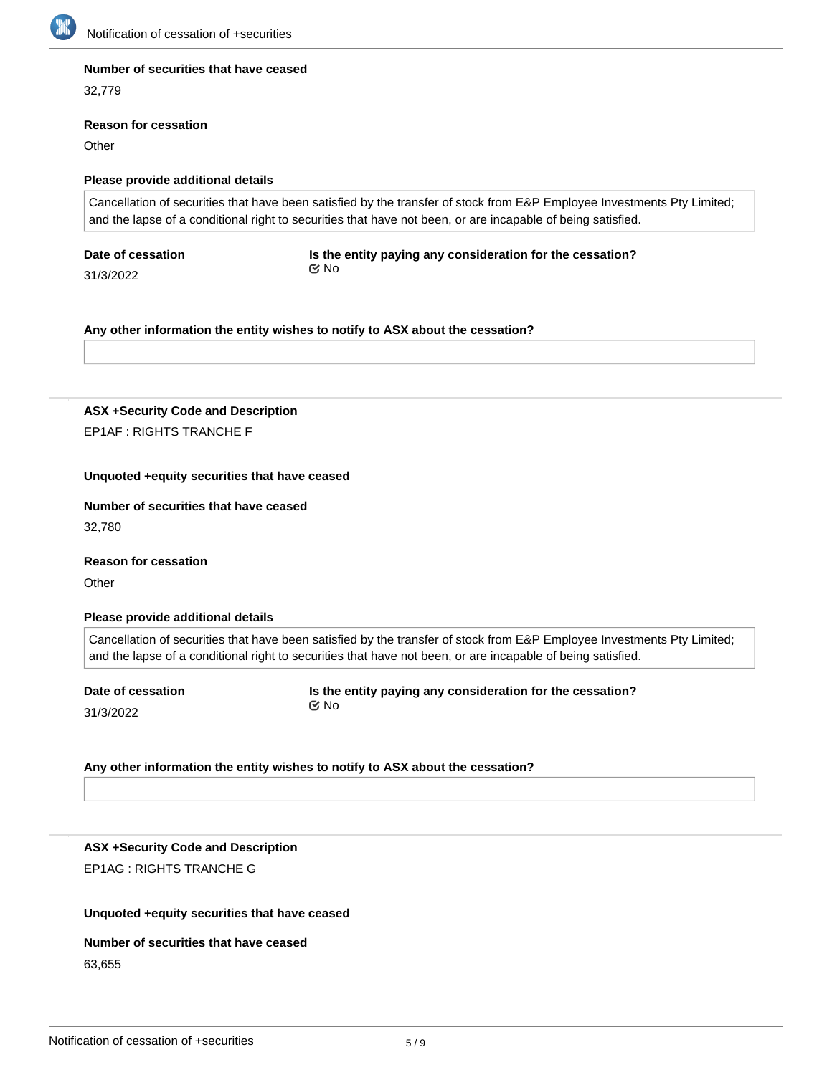

### **Number of securities that have ceased**

32,779

#### **Reason for cessation**

**Other** 

### **Please provide additional details**

Cancellation of securities that have been satisfied by the transfer of stock from E&P Employee Investments Pty Limited; and the lapse of a conditional right to securities that have not been, or are incapable of being satisfied.

**Date of cessation**

**Is the entity paying any consideration for the cessation?** No

31/3/2022

**Any other information the entity wishes to notify to ASX about the cessation?**

**ASX +Security Code and Description** EP1AF : RIGHTS TRANCHE F

### **Unquoted +equity securities that have ceased**

### **Number of securities that have ceased**

32,780

**Reason for cessation**

**Other** 

### **Please provide additional details**

Cancellation of securities that have been satisfied by the transfer of stock from E&P Employee Investments Pty Limited; and the lapse of a conditional right to securities that have not been, or are incapable of being satisfied.

**Date of cessation**

31/3/2022

**Is the entity paying any consideration for the cessation?** No

### **Any other information the entity wishes to notify to ASX about the cessation?**

**ASX +Security Code and Description** EP1AG : RIGHTS TRANCHE G

### **Unquoted +equity securities that have ceased**

### **Number of securities that have ceased** 63,655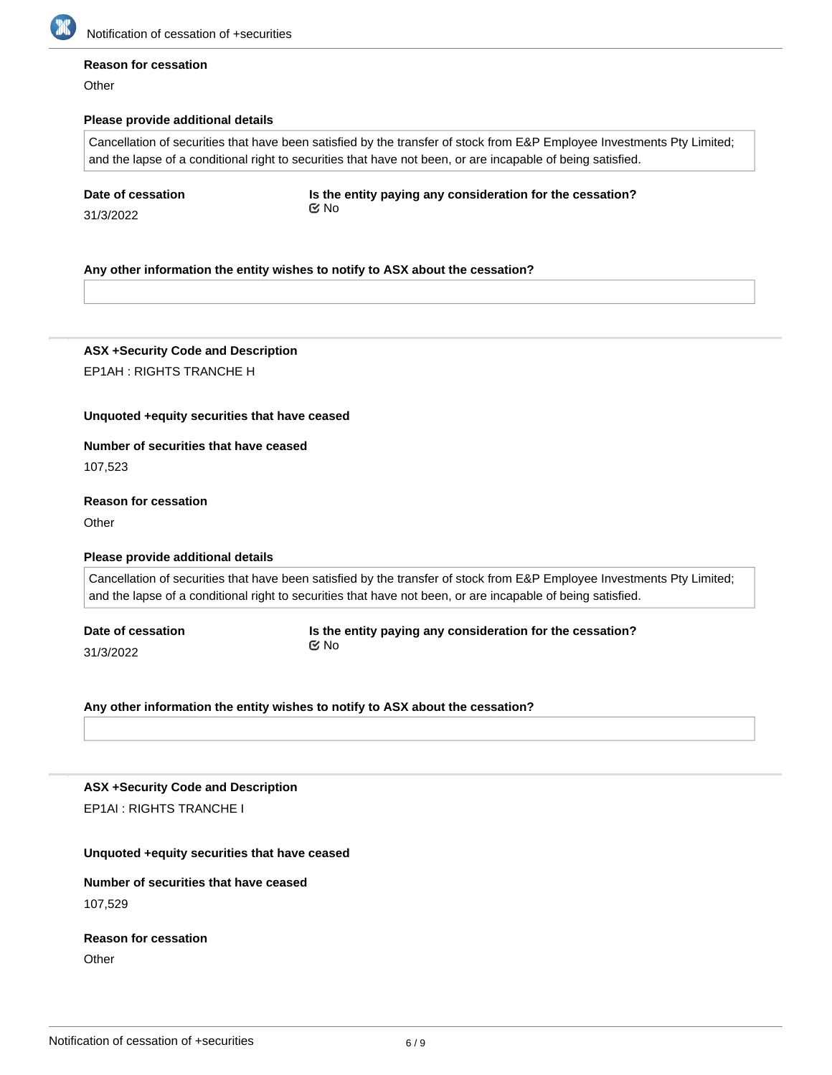

#### **Reason for cessation**

**Other** 

### **Please provide additional details**

Cancellation of securities that have been satisfied by the transfer of stock from E&P Employee Investments Pty Limited; and the lapse of a conditional right to securities that have not been, or are incapable of being satisfied.

|  | Date of cessation |
|--|-------------------|
|--|-------------------|

31/3/2022

**Is the entity paying any consideration for the cessation?** No

### **Any other information the entity wishes to notify to ASX about the cessation?**

**ASX +Security Code and Description** EP1AH : RIGHTS TRANCHE H

#### **Unquoted +equity securities that have ceased**

**Number of securities that have ceased**

107,523

### **Reason for cessation**

**Other** 

#### **Please provide additional details**

Cancellation of securities that have been satisfied by the transfer of stock from E&P Employee Investments Pty Limited; and the lapse of a conditional right to securities that have not been, or are incapable of being satisfied.

**Date of cessation** 31/3/2022

**Is the entity paying any consideration for the cessation?** No

**Any other information the entity wishes to notify to ASX about the cessation?**

**ASX +Security Code and Description** EP1AI : RIGHTS TRANCHE I

#### **Unquoted +equity securities that have ceased**

**Number of securities that have ceased** 107,529

# **Reason for cessation**

**Other**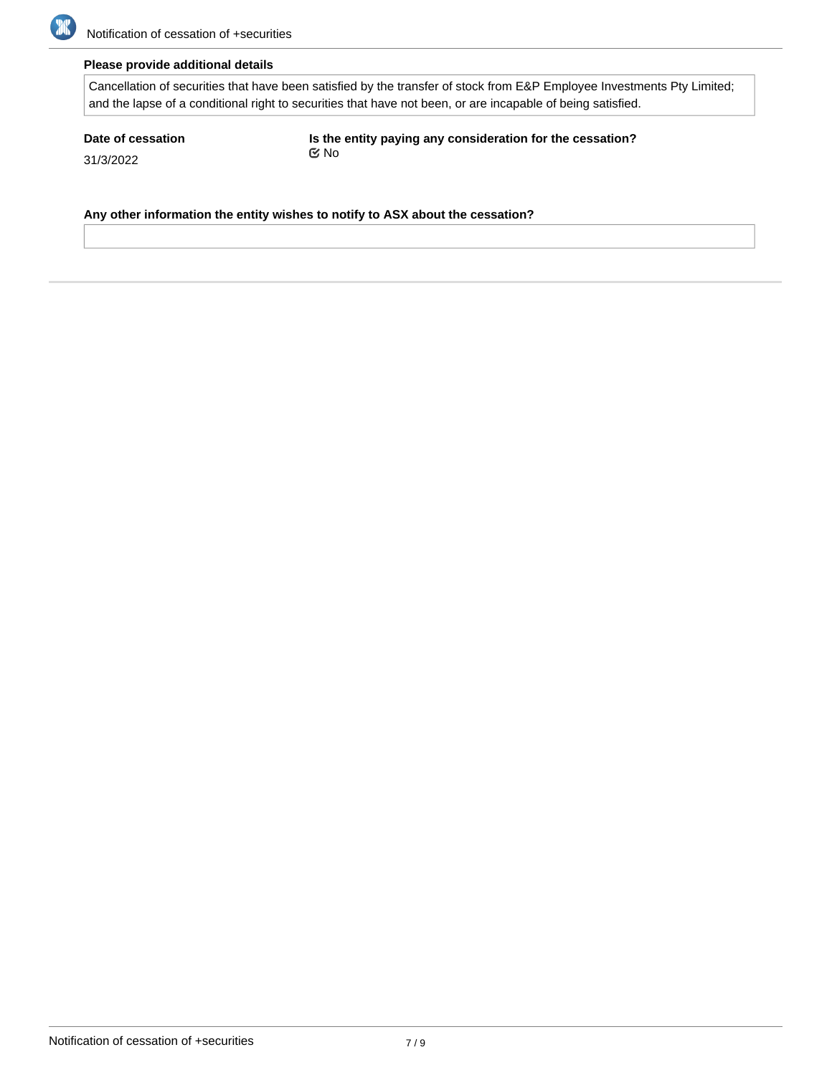

### **Please provide additional details**

Cancellation of securities that have been satisfied by the transfer of stock from E&P Employee Investments Pty Limited; and the lapse of a conditional right to securities that have not been, or are incapable of being satisfied.

**Date of cessation** 31/3/2022

**Is the entity paying any consideration for the cessation?** No

**Any other information the entity wishes to notify to ASX about the cessation?**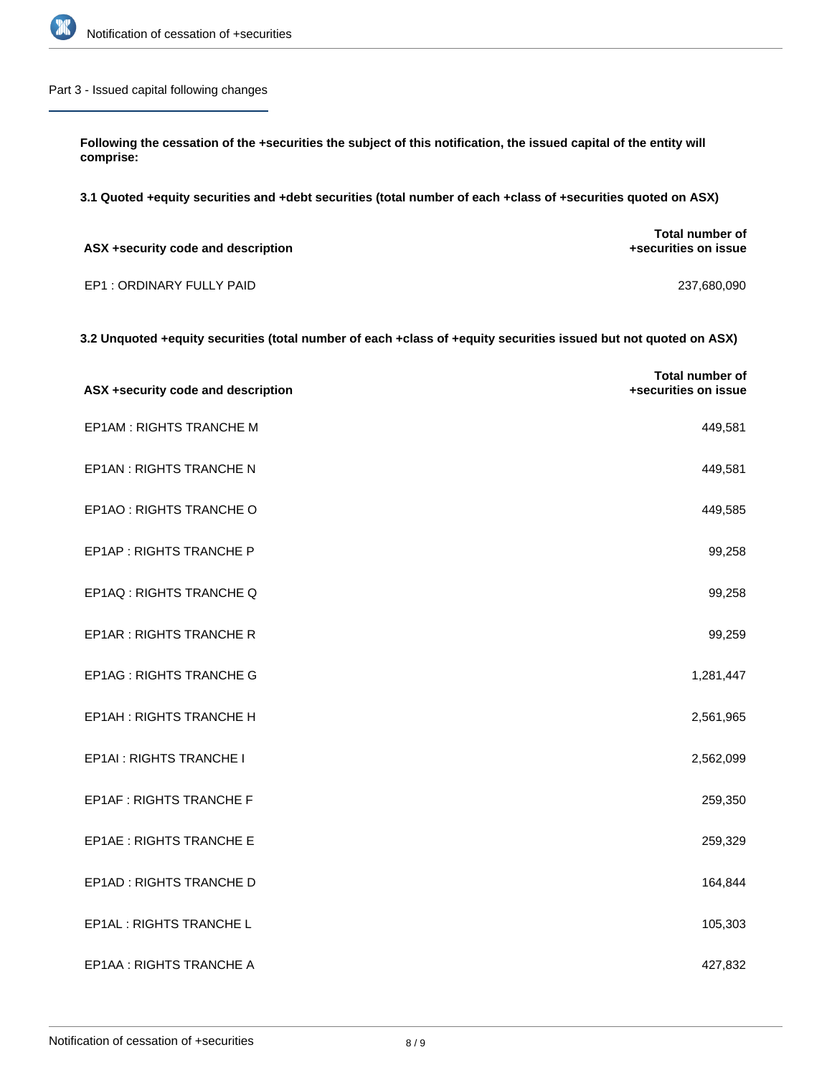

### Part 3 - Issued capital following changes

**Following the cessation of the +securities the subject of this notification, the issued capital of the entity will comprise:**

**3.1 Quoted +equity securities and +debt securities (total number of each +class of +securities quoted on ASX)**

| ASX +security code and description | Total number of<br>+securities on issue |
|------------------------------------|-----------------------------------------|
| EP1 : ORDINARY FULLY PAID          | 237,680,090                             |

### **3.2 Unquoted +equity securities (total number of each +class of +equity securities issued but not quoted on ASX)**

| ASX +security code and description | Total number of<br>+securities on issue |
|------------------------------------|-----------------------------------------|
| EP1AM : RIGHTS TRANCHE M           | 449,581                                 |
| EP1AN : RIGHTS TRANCHE N           | 449,581                                 |
| EP1AO : RIGHTS TRANCHE O           | 449,585                                 |
| EP1AP : RIGHTS TRANCHE P           | 99,258                                  |
| EP1AQ : RIGHTS TRANCHE Q           | 99,258                                  |
| <b>EP1AR: RIGHTS TRANCHE R</b>     | 99,259                                  |
| <b>EP1AG: RIGHTS TRANCHE G</b>     | 1,281,447                               |
| EP1AH: RIGHTS TRANCHE H            | 2,561,965                               |
| EP1AI : RIGHTS TRANCHE I           | 2,562,099                               |
| <b>EP1AF: RIGHTS TRANCHE F</b>     | 259,350                                 |
| EP1AE : RIGHTS TRANCHE E           | 259,329                                 |
| EP1AD: RIGHTS TRANCHE D            | 164,844                                 |
| EP1AL : RIGHTS TRANCHE L           | 105,303                                 |
| EP1AA : RIGHTS TRANCHE A           | 427,832                                 |